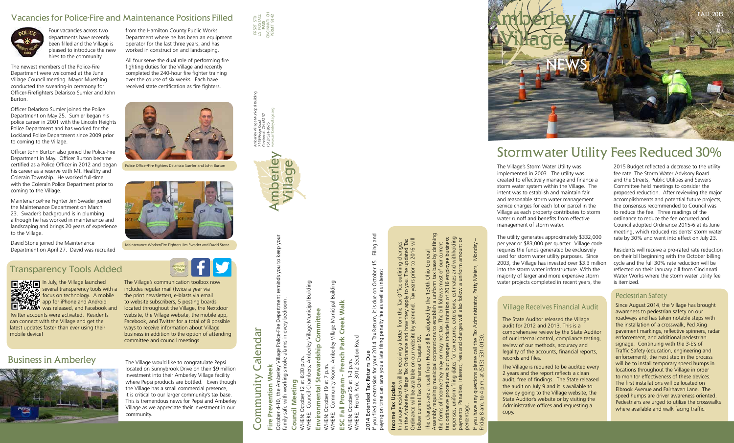#### Vacancies for Police-Fire and Maintenance Positions Filled



Four vacancies across two departments have recently been filled and the Village is pleased to introduce the new hires to the community.

The newest members of the Police-Fire Department were welcomed at the June Village Council meeting. Mayor Muething conducted the swearing-in ceremony for Officer-Firefighters Delarisco Sumler and John Burton.

Officer Delarisco Sumler joined the Police Department on May 25. Sumler began his police career in 2001 with the Lincoln Heights Police Department and has worked for the Lockland Police Department since 2009 prior to coming to the Village.

Officer John Burton also joined the Police-Fire Department in May. Officer Burton became certified as a Police Officer in 2012 and began his career as a reserve with Mt. Healthy and Colerain Township. He worked full-time with the Colerain Police Department prior to coming to the Village.

Maintenance/Fire Fighter Jim Swader joined the Maintenance Department on March 23. Swader's background is in plumbing although he has worked in maintenance and landscaping and brings 20 years of experience to the Village.

David Stone joined the Maintenance Department on April 27. David was recruited

from the Hamilton County Public Works Department where he has been an equipment operator for the last three years, and has worked in construction and landscaping.

All four serve the dual role of performing fire fighting duties for the Village and recently completed the 240-hour fire fighter training over the course of six weeks. Each have received state certification as fire fighters.

> October 4-10, the Amberley Village Police-Fire Department reminds you to keep your reminds you to keep your Village Police-Fire Department<br>oke alarms in every bedroom. family safe with working smoke alarms in every bedroom. 10, the Amberley Villa<br>with working smoke October 4-10, 1<br>family safe with

PRSRT STD US POSTAGE **PAID** CINCINNATI OH PERMIT 9142

### Stormwater Utility Fees Reduced 30%

Council Meeting **Council Meeting**

Municipal Building WHERE: Council Chambers, Amberley Village Municipal Building Committee **Environmental Stewardship Committee** Amberley Village Stewardship October 12 at 6:30 p.m.<br>: Council Chambers, Am WHEN: October 12 at 6:30 p.m. Environmental WHEN: O<br>WHERE: (

p.m. WHEN: October 19 at 7 p.m. at 7 October 19 NHEN:

Building WHERE: Community Room, Amberley Village Municipal Building Walk Amberley Village Municipal / Room, Community WHERE:

**ESC Fall Program - French Park Creek Walk** Creek - French Park WHEN: October 25 at 1-3 p.m. Fall Program ESC

Section Road WHERE: French Park, 3012 Section Road  $1 - 3$  p.r October 25 at 1-3<br>
:: French Park, 30 WHEN: O<br>WHERE:

If you filed an extension for your 2014 Tax Return, it is due on October 15. Filing and October 15. Filing and paying on time can save you a late filing penalty fee as well as interest.  $rac{1}{6}$ due o  $\approx$   $\approx$ 2014 Tax Return, it<br>te filing penalty fee a penalty filing 2014 Extended Tax Returns Due<br>If you filed an extension for your 20<br>paying on time can save you a late The Village's Storm Water Utility was implemented in 2003. The utility was created to effectively manage and finance a storm water system within the Village. The intent was to establish and maintain fair and reasonable storm water management service charges for each lot or parcel in the Village as each property contributes to storm water runoff and benefits from effective management of storm water.

## Income Tax Update Income Tax Update

Ordinance will be available on our website by year-end. Tax years prior to 2016 will in the Amberley Village Tax Ordinance and how they apply to you. The updated Tax ng changes<br>updated Tax<br>to 2016 will In January residents will be receiving a letter from the Tax Office outlining changes outlining b you. The u Office  $\mathsf{C}$  $F_{\rm{N}}$ the ite by year letter follow current Tax Ordinance Chapter 93. available on our wek<br>Ordinance Chapter receiving  $\overline{=}$ i<br>Pax<br>
Tax January resider<br>the Amberley \ Ordinance will b<br>follow current T<sub>e</sub>

Assembly requiring municipal corporations to establish a uniform tax base by defining defining yee business<br>withholding expenses, uniform filing dates for tax returns, extensions, estimates and withholding tax ordinance procedures but changes include limitation of 2016 employee business payments. Penalties, interest, fees and charges will also follow a uniform amount or the forms of income they may or may not tax. The bill follows most of our current io General<br>: base by de<br>of our curre The changes are a result from House Bill 5 adopted by the 130th Ohio General  $rac{1}{2}$ and Ohio 'ত  $30th$  $\overline{9}$  $\sigma$ nsions, estim<br>also follow a  $\overline{20}$ the  $\overline{=}$ changes  $\varphi$ percentage. **Assembly** 

The utility generates approximately \$332,000 per year or \$83,000 per quarter. Village code requires the funds generated be exclusively used for storm water utility purposes. Since 2003, the Village has invested over \$3.3 million into the storm water infrastructure. With the majority of larger and more expensive storm water projects completed in recent years, the

If you have any questions please call the Tax Administrator, Patty Meiers, Monday – Patty Meiers, Administrator, s please call the Ta:<br>: (513) 531-0130. Friday 8 am. to 4 p.m. at (513) 531-0130. have any questions<br>8 am. to 4 p.m. at

Monday

j

2015 Budget reflected a decrease to the utility fee rate. The Storm Water Advisory Board and the Streets, Public Utilities and Sewers Committee held meetings to consider the proposed reduction. After reviewing the major accomplishments and potential future projects, the consensus recommended to Council was to reduce the fee. Three readings of the ordinance to reduce the fee occurred and Council adopted Ordinance 2015-6 at its June meeting, which reduced residents' storm water rate by 30% and went into effect on July 23.

Residents will receive a pro-rated rate reduction on their bill beginning with the October billing cycle and the full 30% rate reduction will be reflected on their January bill from Cincinnati Water Works where the storm water utility fee is itemized.



**In July, the Village launched** several transparency tools with a focus on technology. A mobile app for iPhone and Android **DAMA WAS released, and Facebook and** Twitter accounts were activated. Residents can connect with the Village and get the

# 2014 Extended Tax Returns Due

Amberley Village Municipal Building

7149 Ridge Road Cincinnati, OH 45237 (513) 531-8675 www.amberleyvillage.org

Amberley<br>7149 Ridg<br>Cincinnati<br>(513) 531-

mberley

Village

## **leek Fire Prevention Week** Prevention W Fire



Police Officer/Fire Fighters Delarisco Sumler and John Burton



Maintenance Worker/Fire Fighters Jim Swader and David Stone



#### Village Receives Financial Audit

The State Auditor released the Village audit for 2012 and 2013. This is a comprehensive review by the State Auditor of our internal control, compliance testing, review of our methods, accuracy and legality of the accounts, financial reports,

records and files. copy.

The Village is required to be audited every 2 years and the report reflects a clean audit, free of findings. The State released the audit on July 9 and it is available to view by going to the Village website, the State Auditor's website or by visiting the Administrative offices and requesting a

#### Pedestrian Safety

Since August 2014, the Village has brought awareness to pedestrian safety on our roadways and has taken notable steps with the installation of a crosswalk, Ped Xing pavement markings, reflective spinners, radar enforcement, and additional pedestrian signage. Continuing with the 3-E's of Traffic Safety (education, engineering and enforcement), the next step in the process will be to install temporary speed humps in locations throughout the Village in order to monitor effectiveness of these devices. The first installations will be located on Elbrook Avenue and Fairhaven Lane. The speed humps are driver awareness oriented. Pedestrians are urged to utilize the crosswalks where available and walk facing traffic.

#### Transparency Tools Added



latest updates faster than ever using their

mobile device!

The Village's communication toolbox now includes regular mail (twice a year via the print newsletter), e-blasts via email to website subscribers, 5 posting boards located throughout the Village, the Nextdoor website, the Village website, the mobile app, Facebook, and Twitter for a total of 8 possible ways to receive information about Village business in addition to the option of attending committee and council meetings.

located on Sunnybrook Drive on their \$9 million investment into their Amberley Village facility where Pepsi products are bottled. Even though the Village has a small commercial presence, it is critical to our larger community's tax base. This is tremendous news for Pepsi and Amberley Village as we appreciate their investment in our

# Calendar Community Calendar Community

community.

#### **Business in Amberley** The Village would like to congratulate Pepsi